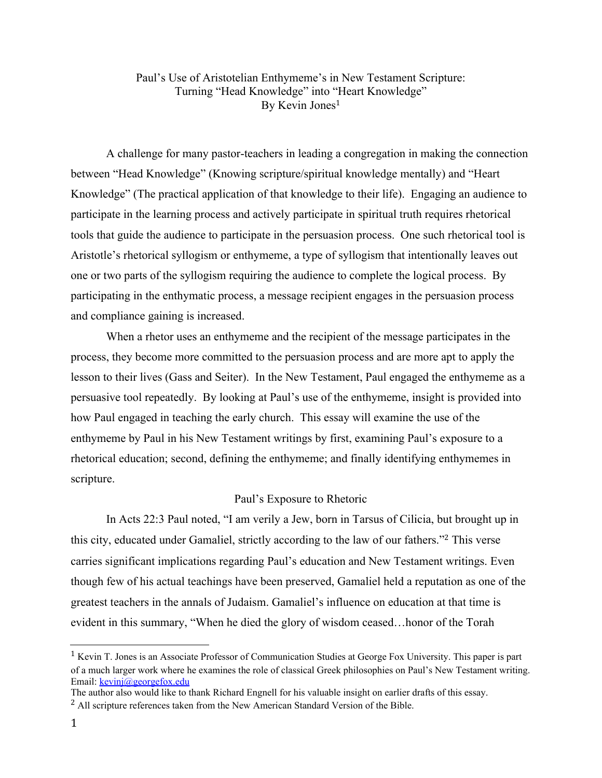# Paul's Use of Aristotelian Enthymeme's in New Testament Scripture: Turning "Head Knowledge" into "Heart Knowledge" By Kevin Jones 1

A challenge for many pastor-teachers in leading a congregation in making the connection between "Head Knowledge" (Knowing scripture/spiritual knowledge mentally) and "Heart Knowledge" (The practical application of that knowledge to their life). Engaging an audience to participate in the learning process and actively participate in spiritual truth requires rhetorical tools that guide the audience to participate in the persuasion process. One such rhetorical tool is Aristotle's rhetorical syllogism or enthymeme, a type of syllogism that intentionally leaves out one or two parts of the syllogism requiring the audience to complete the logical process. By participating in the enthymatic process, a message recipient engages in the persuasion process and compliance gaining is increased.

When a rhetor uses an enthymeme and the recipient of the message participates in the process, they become more committed to the persuasion process and are more apt to apply the lesson to their lives (Gass and Seiter). In the New Testament, Paul engaged the enthymeme as a persuasive tool repeatedly. By looking at Paul's use of the enthymeme, insight is provided into how Paul engaged in teaching the early church. This essay will examine the use of the enthymeme by Paul in his New Testament writings by first, examining Paul's exposure to a rhetorical education; second, defining the enthymeme; and finally identifying enthymemes in scripture.

#### Paul's Exposure to Rhetoric

In Acts 22:3 Paul noted, "I am verily a Jew, born in Tarsus of Cilicia, but brought up in this city, educated under Gamaliel, strictly according to the law of our fathers." <sup>2</sup> This verse carries significant implications regarding Paul's education and New Testament writings. Even though few of his actual teachings have been preserved, Gamaliel held a reputation as one of the greatest teachers in the annals of Judaism. Gamaliel's influence on education at that time is evident in this summary, "When he died the glory of wisdom ceased…honor of the Torah

<sup>1</sup> Kevin T. Jones is an Associate Professor of Communication Studies at George Fox University. This paper is part of a much larger work where he examines the role of classical Greek philosophies on Paul's New Testament writing. Email: [kevinj@georgefox.edu](mailto:kevinj@georgefox.edu)

The author also would like to thank Richard Engnell for his valuable insight on earlier drafts of this essay. <sup>2</sup> All scripture references taken from the New American Standard Version of the Bible.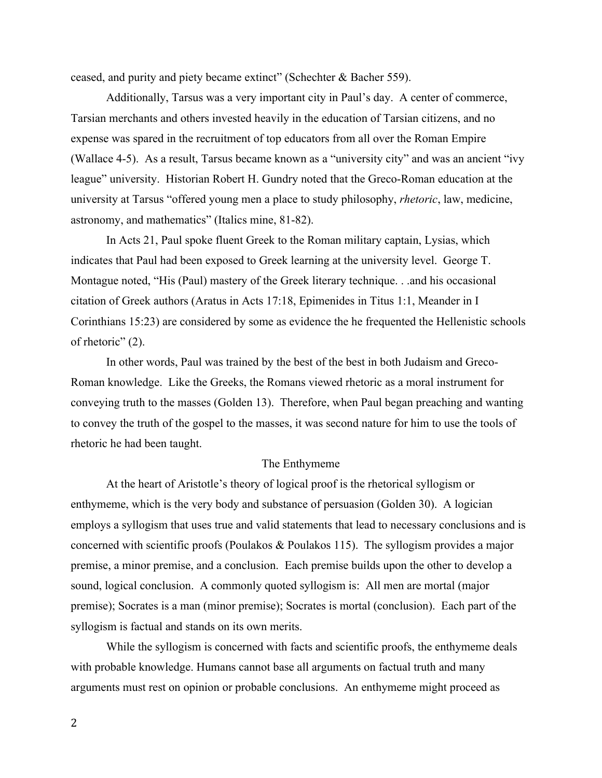ceased, and purity and piety became extinct" (Schechter & Bacher 559).

Additionally, Tarsus was a very important city in Paul's day. A center of commerce, Tarsian merchants and others invested heavily in the education of Tarsian citizens, and no expense was spared in the recruitment of top educators from all over the Roman Empire (Wallace 4-5). As a result, Tarsus became known as a "university city" and was an ancient "ivy league" university. Historian Robert H. Gundry noted that the Greco-Roman education at the university at Tarsus "offered young men a place to study philosophy, *rhetoric*, law, medicine, astronomy, and mathematics" (Italics mine, 81-82).

In Acts 21, Paul spoke fluent Greek to the Roman military captain, Lysias, which indicates that Paul had been exposed to Greek learning at the university level. George T. Montague noted, "His (Paul) mastery of the Greek literary technique. . .and his occasional citation of Greek authors (Aratus in Acts 17:18, Epimenides in Titus 1:1, Meander in I Corinthians 15:23) are considered by some as evidence the he frequented the Hellenistic schools of rhetoric" (2).

In other words, Paul was trained by the best of the best in both Judaism and Greco-Roman knowledge. Like the Greeks, the Romans viewed rhetoric as a moral instrument for conveying truth to the masses (Golden 13). Therefore, when Paul began preaching and wanting to convey the truth of the gospel to the masses, it was second nature for him to use the tools of rhetoric he had been taught.

### The Enthymeme

At the heart of Aristotle's theory of logical proof is the rhetorical syllogism or enthymeme, which is the very body and substance of persuasion (Golden 30). A logician employs a syllogism that uses true and valid statements that lead to necessary conclusions and is concerned with scientific proofs (Poulakos & Poulakos 115). The syllogism provides a major premise, a minor premise, and a conclusion. Each premise builds upon the other to develop a sound, logical conclusion. A commonly quoted syllogism is: All men are mortal (major premise); Socrates is a man (minor premise); Socrates is mortal (conclusion). Each part of the syllogism is factual and stands on its own merits.

While the syllogism is concerned with facts and scientific proofs, the enthymeme deals with probable knowledge. Humans cannot base all arguments on factual truth and many arguments must rest on opinion or probable conclusions. An enthymeme might proceed as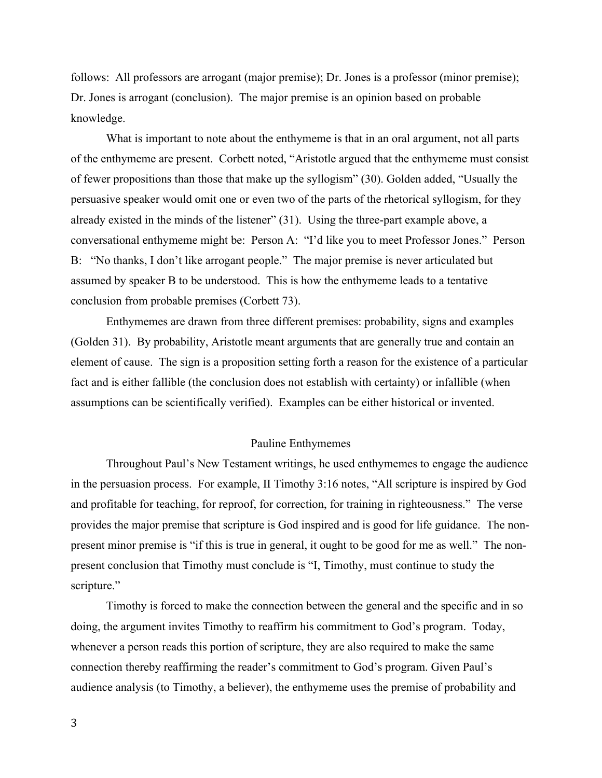follows: All professors are arrogant (major premise); Dr. Jones is a professor (minor premise); Dr. Jones is arrogant (conclusion). The major premise is an opinion based on probable knowledge.

What is important to note about the enthymeme is that in an oral argument, not all parts of the enthymeme are present. Corbett noted, "Aristotle argued that the enthymeme must consist of fewer propositions than those that make up the syllogism" (30). Golden added, "Usually the persuasive speaker would omit one or even two of the parts of the rhetorical syllogism, for they already existed in the minds of the listener" (31). Using the three-part example above, a conversational enthymeme might be: Person A: "I'd like you to meet Professor Jones." Person B: "No thanks, I don't like arrogant people." The major premise is never articulated but assumed by speaker B to be understood. This is how the enthymeme leads to a tentative conclusion from probable premises (Corbett 73).

Enthymemes are drawn from three different premises: probability, signs and examples (Golden 31). By probability, Aristotle meant arguments that are generally true and contain an element of cause. The sign is a proposition setting forth a reason for the existence of a particular fact and is either fallible (the conclusion does not establish with certainty) or infallible (when assumptions can be scientifically verified). Examples can be either historical or invented.

### Pauline Enthymemes

Throughout Paul's New Testament writings, he used enthymemes to engage the audience in the persuasion process. For example, II Timothy 3:16 notes, "All scripture is inspired by God and profitable for teaching, for reproof, for correction, for training in righteousness." The verse provides the major premise that scripture is God inspired and is good for life guidance. The nonpresent minor premise is "if this is true in general, it ought to be good for me as well." The nonpresent conclusion that Timothy must conclude is "I, Timothy, must continue to study the scripture."

Timothy is forced to make the connection between the general and the specific and in so doing, the argument invites Timothy to reaffirm his commitment to God's program. Today, whenever a person reads this portion of scripture, they are also required to make the same connection thereby reaffirming the reader's commitment to God's program. Given Paul's audience analysis (to Timothy, a believer), the enthymeme uses the premise of probability and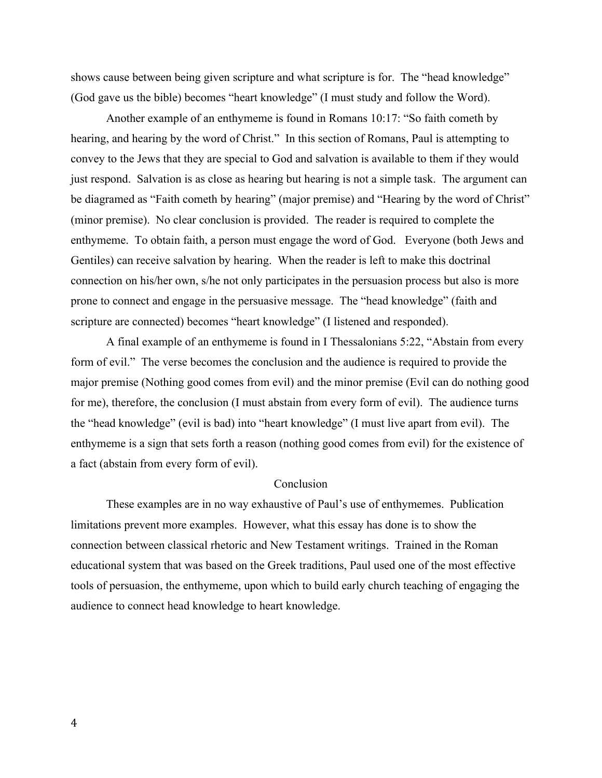shows cause between being given scripture and what scripture is for. The "head knowledge" (God gave us the bible) becomes "heart knowledge" (I must study and follow the Word).

Another example of an enthymeme is found in Romans 10:17: "So faith cometh by hearing, and hearing by the word of Christ." In this section of Romans, Paul is attempting to convey to the Jews that they are special to God and salvation is available to them if they would just respond. Salvation is as close as hearing but hearing is not a simple task. The argument can be diagramed as "Faith cometh by hearing" (major premise) and "Hearing by the word of Christ" (minor premise). No clear conclusion is provided. The reader is required to complete the enthymeme. To obtain faith, a person must engage the word of God. Everyone (both Jews and Gentiles) can receive salvation by hearing. When the reader is left to make this doctrinal connection on his/her own, s/he not only participates in the persuasion process but also is more prone to connect and engage in the persuasive message. The "head knowledge" (faith and scripture are connected) becomes "heart knowledge" (I listened and responded).

A final example of an enthymeme is found in I Thessalonians 5:22, "Abstain from every form of evil." The verse becomes the conclusion and the audience is required to provide the major premise (Nothing good comes from evil) and the minor premise (Evil can do nothing good for me), therefore, the conclusion (I must abstain from every form of evil). The audience turns the "head knowledge" (evil is bad) into "heart knowledge" (I must live apart from evil). The enthymeme is a sign that sets forth a reason (nothing good comes from evil) for the existence of a fact (abstain from every form of evil).

## Conclusion

These examples are in no way exhaustive of Paul's use of enthymemes. Publication limitations prevent more examples. However, what this essay has done is to show the connection between classical rhetoric and New Testament writings. Trained in the Roman educational system that was based on the Greek traditions, Paul used one of the most effective tools of persuasion, the enthymeme, upon which to build early church teaching of engaging the audience to connect head knowledge to heart knowledge.